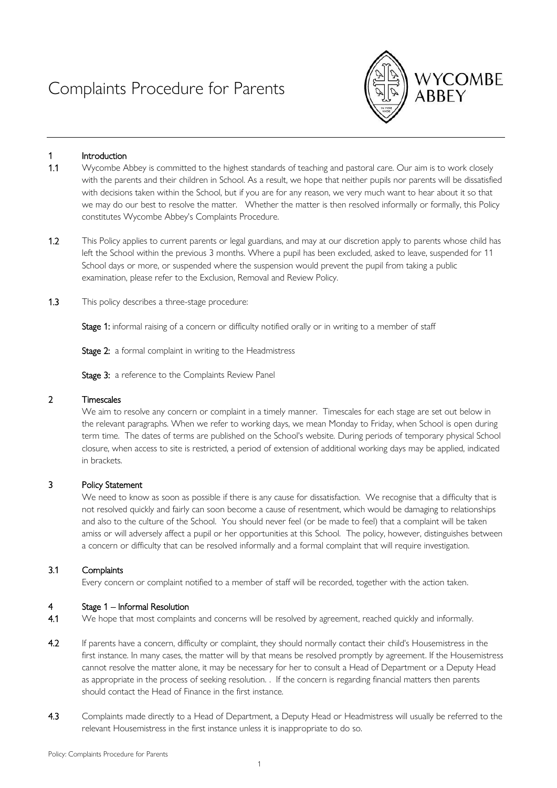# Complaints Procedure for Parents



## 1 Introduction

- 1.1 Wycombe Abbey is committed to the highest standards of teaching and pastoral care. Our aim is to work closely with the parents and their children in School. As a result, we hope that neither pupils nor parents will be dissatisfied with decisions taken within the School, but if you are for any reason, we very much want to hear about it so that we may do our best to resolve the matter. Whether the matter is then resolved informally or formally, this Policy constitutes Wycombe Abbey's Complaints Procedure.
- 1.2 This Policy applies to current parents or legal guardians, and may at our discretion apply to parents whose child has left the School within the previous 3 months. Where a pupil has been excluded, asked to leave, suspended for 11 School days or more, or suspended where the suspension would prevent the pupil from taking a public examination, please refer to the Exclusion, Removal and Review Policy.
- 1.3 This policy describes a three-stage procedure:

Stage 1: informal raising of a concern or difficulty notified orally or in writing to a member of staff

Stage 2: a formal complaint in writing to the Headmistress

Stage 3: a reference to the Complaints Review Panel

## 2 Timescales

We aim to resolve any concern or complaint in a timely manner. Timescales for each stage are set out below in the relevant paragraphs. When we refer to working days, we mean Monday to Friday, when School is open during term time. The dates of terms are published on the School's website. During periods of temporary physical School closure, when access to site is restricted, a period of extension of additional working days may be applied, indicated in brackets.

# 3 Policy Statement

We need to know as soon as possible if there is any cause for dissatisfaction. We recognise that a difficulty that is not resolved quickly and fairly can soon become a cause of resentment, which would be damaging to relationships and also to the culture of the School. You should never feel (or be made to feel) that a complaint will be taken amiss or will adversely affect a pupil or her opportunities at this School. The policy, however, distinguishes between a concern or difficulty that can be resolved informally and a formal complaint that will require investigation.

#### 3.1 Complaints

Every concern or complaint notified to a member of staff will be recorded, together with the action taken.

# Stage 1 – Informal Resolution

- 4.1 We hope that most complaints and concerns will be resolved by agreement, reached quickly and informally.
- 4.2 If parents have a concern, difficulty or complaint, they should normally contact their child's Housemistress in the first instance. In many cases, the matter will by that means be resolved promptly by agreement. If the Housemistress cannot resolve the matter alone, it may be necessary for her to consult a Head of Department or a Deputy Head as appropriate in the process of seeking resolution. . If the concern is regarding financial matters then parents should contact the Head of Finance in the first instance.
- 4.3 Complaints made directly to a Head of Department, a Deputy Head or Headmistress will usually be referred to the relevant Housemistress in the first instance unless it is inappropriate to do so.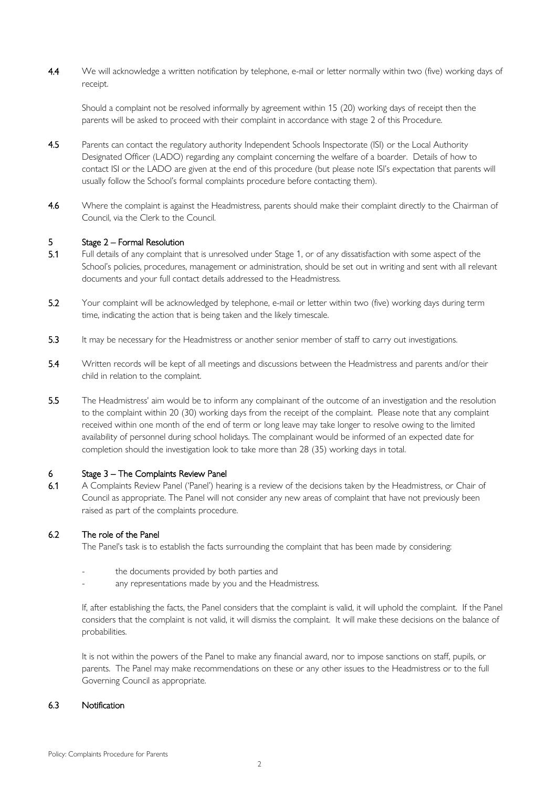4.4 We will acknowledge a written notification by telephone, e-mail or letter normally within two (five) working days of receipt.

Should a complaint not be resolved informally by agreement within 15 (20) working days of receipt then the parents will be asked to proceed with their complaint in accordance with stage 2 of this Procedure.

- 4.5 Parents can contact the regulatory authority Independent Schools Inspectorate (ISI) or the Local Authority Designated Officer (LADO) regarding any complaint concerning the welfare of a boarder. Details of how to contact ISI or the LADO are given at the end of this procedure (but please note ISI's expectation that parents will usually follow the School's formal complaints procedure before contacting them).
- 4.6 Where the complaint is against the Headmistress, parents should make their complaint directly to the Chairman of Council, via the Clerk to the Council.

## 5 Stage 2 – Formal Resolution

- 5.1 Full details of any complaint that is unresolved under Stage 1, or of any dissatisfaction with some aspect of the School's policies, procedures, management or administration, should be set out in writing and sent with all relevant documents and your full contact details addressed to the Headmistress.
- 5.2 Your complaint will be acknowledged by telephone, e-mail or letter within two (five) working days during term time, indicating the action that is being taken and the likely timescale.
- 5.3 It may be necessary for the Headmistress or another senior member of staff to carry out investigations.
- 5.4 Written records will be kept of all meetings and discussions between the Headmistress and parents and/or their child in relation to the complaint.
- 5.5 The Headmistress' aim would be to inform any complainant of the outcome of an investigation and the resolution to the complaint within 20 (30) working days from the receipt of the complaint. Please note that any complaint received within one month of the end of term or long leave may take longer to resolve owing to the limited availability of personnel during school holidays. The complainant would be informed of an expected date for completion should the investigation look to take more than 28 (35) working days in total.

#### 6 Stage 3 – The Complaints Review Panel

6.1 A Complaints Review Panel ('Panel') hearing is a review of the decisions taken by the Headmistress, or Chair of Council as appropriate. The Panel will not consider any new areas of complaint that have not previously been raised as part of the complaints procedure.

# 6.2 The role of the Panel

The Panel's task is to establish the facts surrounding the complaint that has been made by considering:

- the documents provided by both parties and
- any representations made by you and the Headmistress.

If, after establishing the facts, the Panel considers that the complaint is valid, it will uphold the complaint. If the Panel considers that the complaint is not valid, it will dismiss the complaint. It will make these decisions on the balance of probabilities.

It is not within the powers of the Panel to make any financial award, nor to impose sanctions on staff, pupils, or parents. The Panel may make recommendations on these or any other issues to the Headmistress or to the full Governing Council as appropriate.

## 6.3 Notification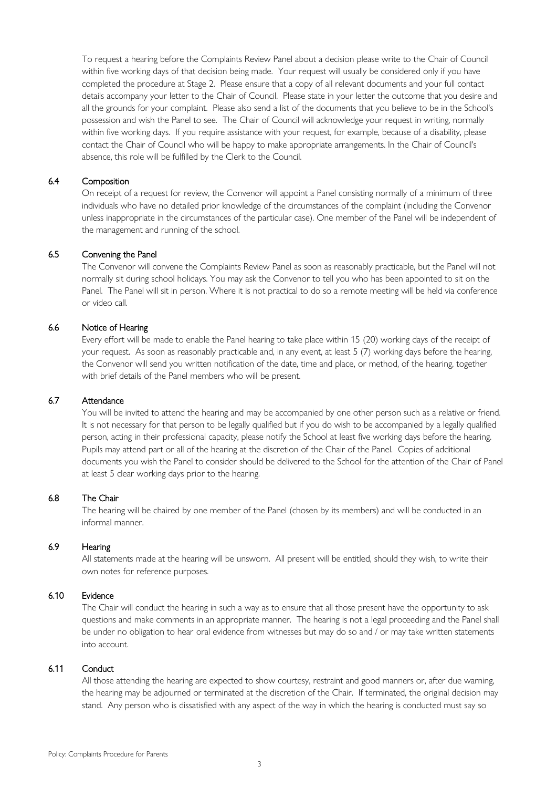To request a hearing before the Complaints Review Panel about a decision please write to the Chair of Council within five working days of that decision being made. Your request will usually be considered only if you have completed the procedure at Stage 2. Please ensure that a copy of all relevant documents and your full contact details accompany your letter to the Chair of Council. Please state in your letter the outcome that you desire and all the grounds for your complaint. Please also send a list of the documents that you believe to be in the School's possession and wish the Panel to see. The Chair of Council will acknowledge your request in writing, normally within five working days. If you require assistance with your request, for example, because of a disability, please contact the Chair of Council who will be happy to make appropriate arrangements. In the Chair of Council's absence, this role will be fulfilled by the Clerk to the Council.

## 6.4 Composition

On receipt of a request for review, the Convenor will appoint a Panel consisting normally of a minimum of three individuals who have no detailed prior knowledge of the circumstances of the complaint (including the Convenor unless inappropriate in the circumstances of the particular case). One member of the Panel will be independent of the management and running of the school.

## 6.5 Convening the Panel

The Convenor will convene the Complaints Review Panel as soon as reasonably practicable, but the Panel will not normally sit during school holidays. You may ask the Convenor to tell you who has been appointed to sit on the Panel. The Panel will sit in person. Where it is not practical to do so a remote meeting will be held via conference or video call.

## 6.6 Notice of Hearing

Every effort will be made to enable the Panel hearing to take place within 15 (20) working days of the receipt of your request. As soon as reasonably practicable and, in any event, at least 5 (7) working days before the hearing, the Convenor will send you written notification of the date, time and place, or method, of the hearing, together with brief details of the Panel members who will be present.

### 6.7 Attendance

You will be invited to attend the hearing and may be accompanied by one other person such as a relative or friend. It is not necessary for that person to be legally qualified but if you do wish to be accompanied by a legally qualified person, acting in their professional capacity, please notify the School at least five working days before the hearing. Pupils may attend part or all of the hearing at the discretion of the Chair of the Panel. Copies of additional documents you wish the Panel to consider should be delivered to the School for the attention of the Chair of Panel at least 5 clear working days prior to the hearing.

# 6.8 The Chair

The hearing will be chaired by one member of the Panel (chosen by its members) and will be conducted in an informal manner.

## 6.9 Hearing

All statements made at the hearing will be unsworn. All present will be entitled, should they wish, to write their own notes for reference purposes.

### 6.10 Evidence

The Chair will conduct the hearing in such a way as to ensure that all those present have the opportunity to ask questions and make comments in an appropriate manner. The hearing is not a legal proceeding and the Panel shall be under no obligation to hear oral evidence from witnesses but may do so and / or may take written statements into account.

# 6.11 Conduct

All those attending the hearing are expected to show courtesy, restraint and good manners or, after due warning, the hearing may be adjourned or terminated at the discretion of the Chair. If terminated, the original decision may stand. Any person who is dissatisfied with any aspect of the way in which the hearing is conducted must say so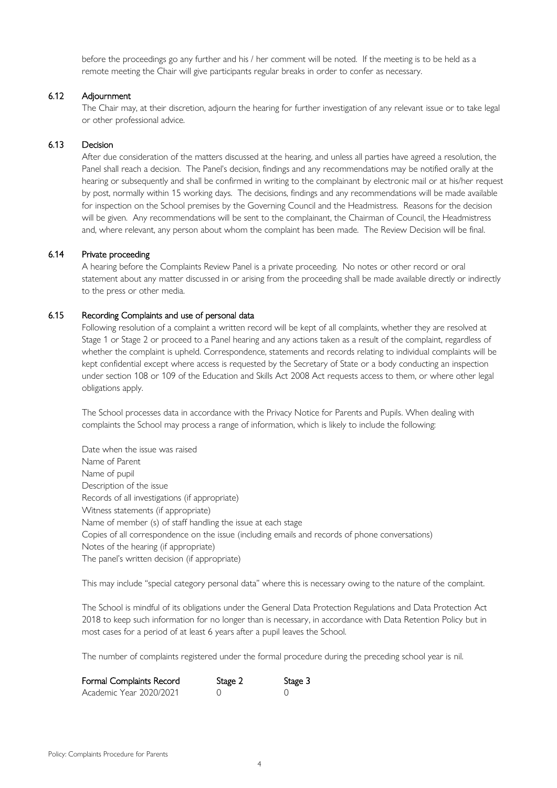before the proceedings go any further and his / her comment will be noted. If the meeting is to be held as a remote meeting the Chair will give participants regular breaks in order to confer as necessary.

## 6.12 Adjournment

The Chair may, at their discretion, adjourn the hearing for further investigation of any relevant issue or to take legal or other professional advice.

#### 6.13 Decision

After due consideration of the matters discussed at the hearing, and unless all parties have agreed a resolution, the Panel shall reach a decision. The Panel's decision, findings and any recommendations may be notified orally at the hearing or subsequently and shall be confirmed in writing to the complainant by electronic mail or at his/her request by post, normally within 15 working days. The decisions, findings and any recommendations will be made available for inspection on the School premises by the Governing Council and the Headmistress. Reasons for the decision will be given. Any recommendations will be sent to the complainant, the Chairman of Council, the Headmistress and, where relevant, any person about whom the complaint has been made. The Review Decision will be final.

#### 6.14 Private proceeding

A hearing before the Complaints Review Panel is a private proceeding. No notes or other record or oral statement about any matter discussed in or arising from the proceeding shall be made available directly or indirectly to the press or other media.

#### 6.15 Recording Complaints and use of personal data

Following resolution of a complaint a written record will be kept of all complaints, whether they are resolved at Stage 1 or Stage 2 or proceed to a Panel hearing and any actions taken as a result of the complaint, regardless of whether the complaint is upheld. Correspondence, statements and records relating to individual complaints will be kept confidential except where access is requested by the Secretary of State or a body conducting an inspection under section 108 or 109 of the Education and Skills Act 2008 Act requests access to them, or where other legal obligations apply.

The School processes data in accordance with the Privacy Notice for Parents and Pupils. When dealing with complaints the School may process a range of information, which is likely to include the following:

Date when the issue was raised Name of Parent Name of pupil Description of the issue Records of all investigations (if appropriate) Witness statements (if appropriate) Name of member (s) of staff handling the issue at each stage Copies of all correspondence on the issue (including emails and records of phone conversations) Notes of the hearing (if appropriate) The panel's written decision (if appropriate)

This may include "special category personal data" where this is necessary owing to the nature of the complaint.

The School is mindful of its obligations under the General Data Protection Regulations and Data Protection Act 2018 to keep such information for no longer than is necessary, in accordance with Data Retention Policy but in most cases for a period of at least 6 years after a pupil leaves the School.

The number of complaints registered under the formal procedure during the preceding school year is nil.

| Formal Complaints Record | Stage 2 | Stage 3 |
|--------------------------|---------|---------|
| Academic Year 2020/2021  |         |         |